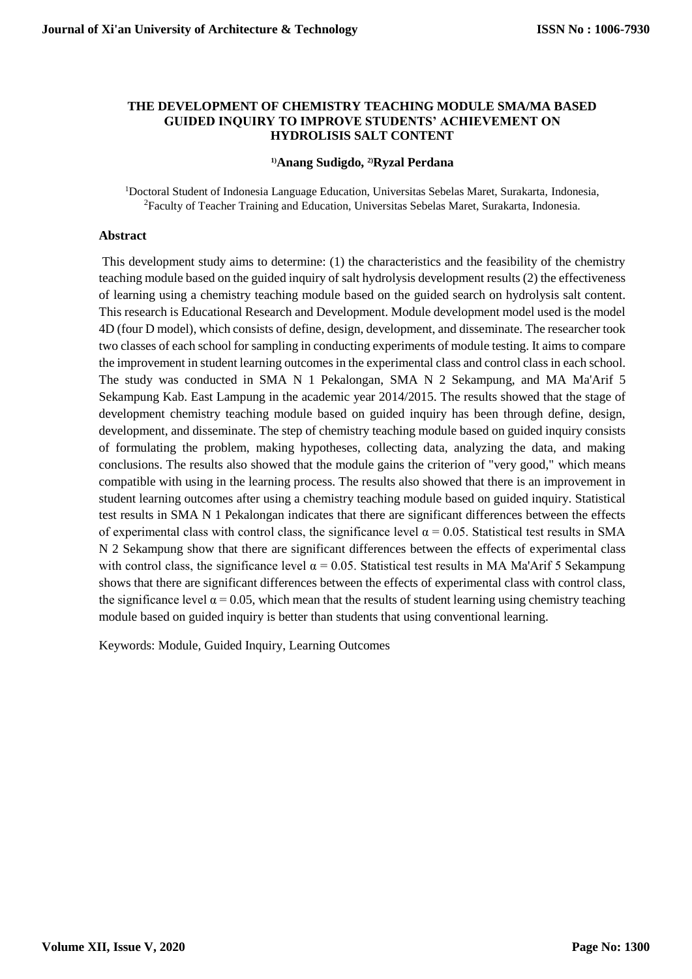### **THE DEVELOPMENT OF CHEMISTRY TEACHING MODULE SMA/MA BASED GUIDED INQUIRY TO IMPROVE STUDENTS' ACHIEVEMENT ON HYDROLISIS SALT CONTENT**

### **1)Anang Sudigdo, 2)Ryzal Perdana**

<sup>1</sup>Doctoral Student of Indonesia Language Education, Universitas Sebelas Maret, Surakarta, Indonesia, <sup>2</sup>Faculty of Teacher Training and Education, Universitas Sebelas Maret, Surakarta, Indonesia.

### **Abstract**

This development study aims to determine: (1) the characteristics and the feasibility of the chemistry teaching module based on the guided inquiry of salt hydrolysis development results (2) the effectiveness of learning using a chemistry teaching module based on the guided search on hydrolysis salt content. This research is Educational Research and Development. Module development model used is the model 4D (four D model), which consists of define, design, development, and disseminate. The researcher took two classes of each school for sampling in conducting experiments of module testing. It aims to compare the improvement in student learning outcomes in the experimental class and control class in each school. The study was conducted in SMA N 1 Pekalongan, SMA N 2 Sekampung, and MA Ma'Arif 5 Sekampung Kab. East Lampung in the academic year 2014/2015. The results showed that the stage of development chemistry teaching module based on guided inquiry has been through define, design, development, and disseminate. The step of chemistry teaching module based on guided inquiry consists of formulating the problem, making hypotheses, collecting data, analyzing the data, and making conclusions. The results also showed that the module gains the criterion of "very good," which means compatible with using in the learning process. The results also showed that there is an improvement in student learning outcomes after using a chemistry teaching module based on guided inquiry. Statistical test results in SMA N 1 Pekalongan indicates that there are significant differences between the effects of experimental class with control class, the significance level  $\alpha = 0.05$ . Statistical test results in SMA N 2 Sekampung show that there are significant differences between the effects of experimental class with control class, the significance level  $\alpha = 0.05$ . Statistical test results in MA Ma'Arif 5 Sekampung shows that there are significant differences between the effects of experimental class with control class, the significance level  $\alpha = 0.05$ , which mean that the results of student learning using chemistry teaching module based on guided inquiry is better than students that using conventional learning.

Keywords: Module, Guided Inquiry, Learning Outcomes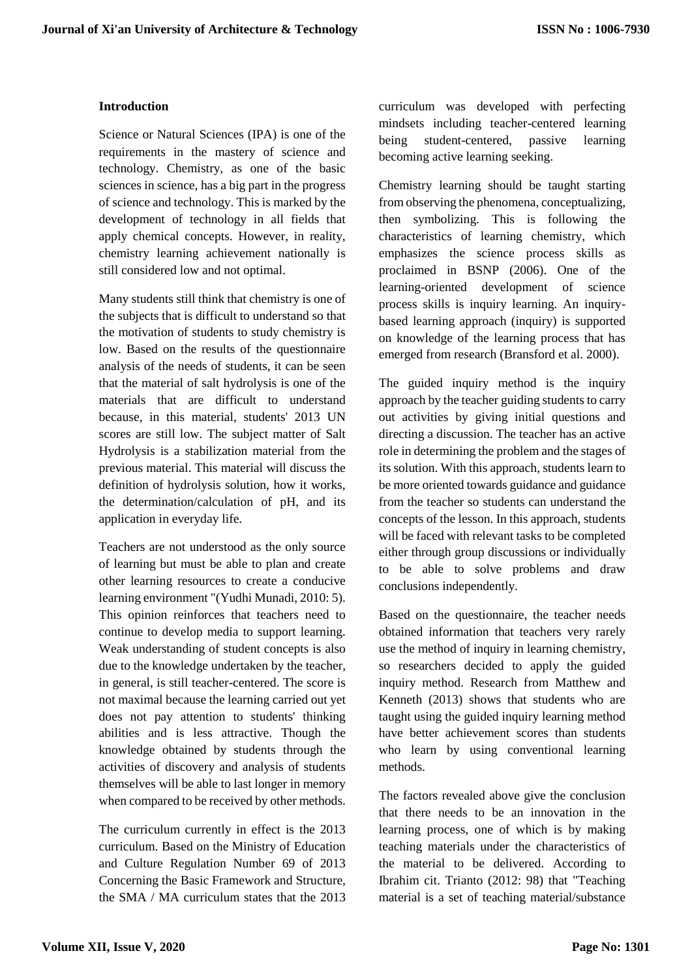## **Introduction**

Science or Natural Sciences (IPA) is one of the requirements in the mastery of science and technology. Chemistry, as one of the basic sciences in science, has a big part in the progress of science and technology. This is marked by the development of technology in all fields that apply chemical concepts. However, in reality, chemistry learning achievement nationally is still considered low and not optimal.

Many students still think that chemistry is one of the subjects that is difficult to understand so that the motivation of students to study chemistry is low. Based on the results of the questionnaire analysis of the needs of students, it can be seen that the material of salt hydrolysis is one of the materials that are difficult to understand because, in this material, students' 2013 UN scores are still low. The subject matter of Salt Hydrolysis is a stabilization material from the previous material. This material will discuss the definition of hydrolysis solution, how it works, the determination/calculation of pH, and its application in everyday life.

Teachers are not understood as the only source of learning but must be able to plan and create other learning resources to create a conducive learning environment "(Yudhi Munadi, 2010: 5). This opinion reinforces that teachers need to continue to develop media to support learning. Weak understanding of student concepts is also due to the knowledge undertaken by the teacher, in general, is still teacher-centered. The score is not maximal because the learning carried out yet does not pay attention to students' thinking abilities and is less attractive. Though the knowledge obtained by students through the activities of discovery and analysis of students themselves will be able to last longer in memory when compared to be received by other methods.

The curriculum currently in effect is the 2013 curriculum. Based on the Ministry of Education and Culture Regulation Number 69 of 2013 Concerning the Basic Framework and Structure, the SMA / MA curriculum states that the 2013

curriculum was developed with perfecting mindsets including teacher-centered learning being student-centered, passive learning becoming active learning seeking.

Chemistry learning should be taught starting from observing the phenomena, conceptualizing, then symbolizing. This is following the characteristics of learning chemistry, which emphasizes the science process skills as proclaimed in BSNP (2006). One of the learning-oriented development of science process skills is inquiry learning. An inquirybased learning approach (inquiry) is supported on knowledge of the learning process that has emerged from research (Bransford et al. 2000).

The guided inquiry method is the inquiry approach by the teacher guiding students to carry out activities by giving initial questions and directing a discussion. The teacher has an active role in determining the problem and the stages of its solution. With this approach, students learn to be more oriented towards guidance and guidance from the teacher so students can understand the concepts of the lesson. In this approach, students will be faced with relevant tasks to be completed either through group discussions or individually to be able to solve problems and draw conclusions independently.

Based on the questionnaire, the teacher needs obtained information that teachers very rarely use the method of inquiry in learning chemistry, so researchers decided to apply the guided inquiry method. Research from Matthew and Kenneth (2013) shows that students who are taught using the guided inquiry learning method have better achievement scores than students who learn by using conventional learning methods.

The factors revealed above give the conclusion that there needs to be an innovation in the learning process, one of which is by making teaching materials under the characteristics of the material to be delivered. According to Ibrahim cit. Trianto (2012: 98) that "Teaching material is a set of teaching material/substance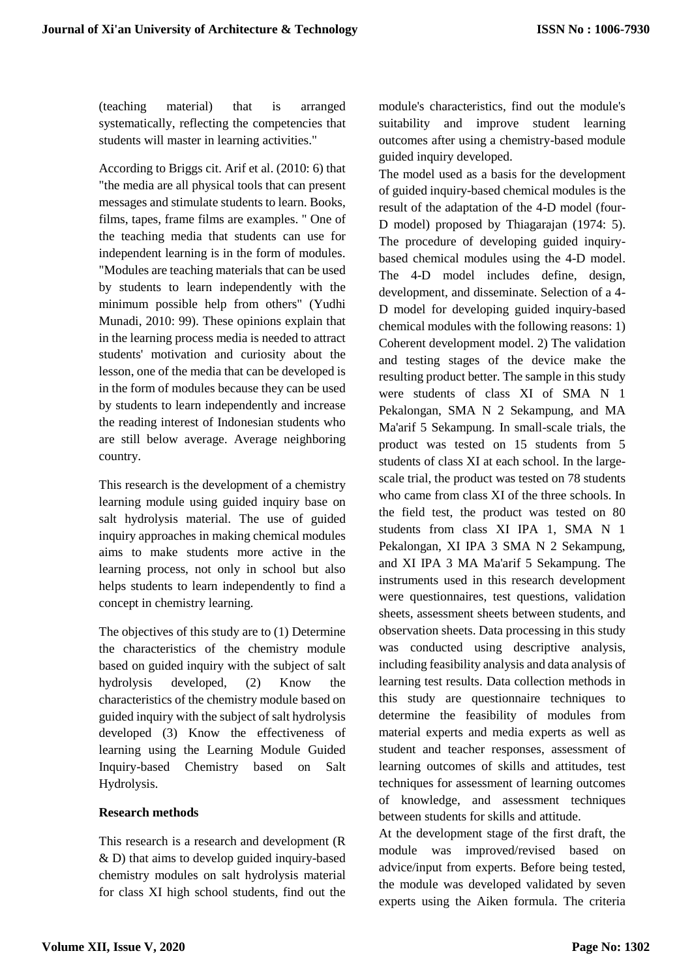(teaching material) that is arranged systematically, reflecting the competencies that students will master in learning activities."

According to Briggs cit. Arif et al. (2010: 6) that "the media are all physical tools that can present messages and stimulate students to learn. Books, films, tapes, frame films are examples. " One of the teaching media that students can use for independent learning is in the form of modules. "Modules are teaching materials that can be used by students to learn independently with the minimum possible help from others" (Yudhi Munadi, 2010: 99). These opinions explain that in the learning process media is needed to attract students' motivation and curiosity about the lesson, one of the media that can be developed is in the form of modules because they can be used by students to learn independently and increase the reading interest of Indonesian students who are still below average. Average neighboring country.

This research is the development of a chemistry learning module using guided inquiry base on salt hydrolysis material. The use of guided inquiry approaches in making chemical modules aims to make students more active in the learning process, not only in school but also helps students to learn independently to find a concept in chemistry learning.

The objectives of this study are to (1) Determine the characteristics of the chemistry module based on guided inquiry with the subject of salt hydrolysis developed, (2) Know the characteristics of the chemistry module based on guided inquiry with the subject of salt hydrolysis developed (3) Know the effectiveness of learning using the Learning Module Guided Inquiry-based Chemistry based on Salt Hydrolysis.

# **Research methods**

This research is a research and development (R & D) that aims to develop guided inquiry-based chemistry modules on salt hydrolysis material for class XI high school students, find out the

module's characteristics, find out the module's suitability and improve student learning outcomes after using a chemistry-based module guided inquiry developed.

The model used as a basis for the development of guided inquiry-based chemical modules is the result of the adaptation of the 4-D model (four-D model) proposed by Thiagarajan (1974: 5). The procedure of developing guided inquirybased chemical modules using the 4-D model. The 4-D model includes define, design, development, and disseminate. Selection of a 4- D model for developing guided inquiry-based chemical modules with the following reasons: 1) Coherent development model. 2) The validation and testing stages of the device make the resulting product better. The sample in this study were students of class XI of SMA N 1 Pekalongan, SMA N 2 Sekampung, and MA Ma'arif 5 Sekampung. In small-scale trials, the product was tested on 15 students from 5 students of class XI at each school. In the largescale trial, the product was tested on 78 students who came from class XI of the three schools. In the field test, the product was tested on 80 students from class XI IPA 1, SMA N 1 Pekalongan, XI IPA 3 SMA N 2 Sekampung, and XI IPA 3 MA Ma'arif 5 Sekampung. The instruments used in this research development were questionnaires, test questions, validation sheets, assessment sheets between students, and observation sheets. Data processing in this study was conducted using descriptive analysis, including feasibility analysis and data analysis of learning test results. Data collection methods in this study are questionnaire techniques to determine the feasibility of modules from material experts and media experts as well as student and teacher responses, assessment of learning outcomes of skills and attitudes, test techniques for assessment of learning outcomes of knowledge, and assessment techniques between students for skills and attitude.

At the development stage of the first draft, the module was improved/revised based on advice/input from experts. Before being tested, the module was developed validated by seven experts using the Aiken formula. The criteria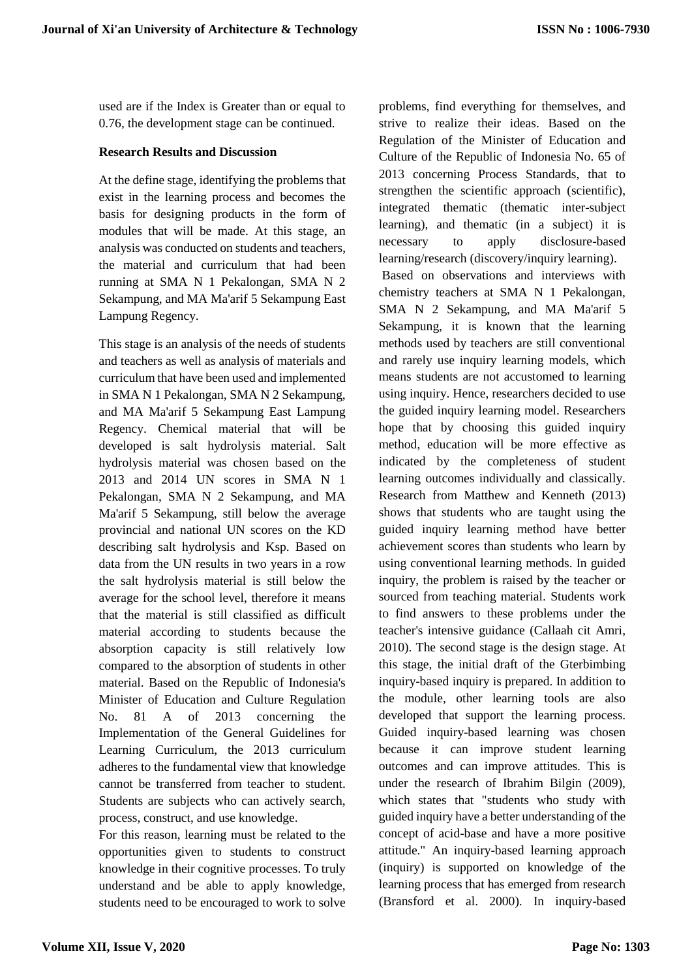used are if the Index is Greater than or equal to 0.76, the development stage can be continued.

## **Research Results and Discussion**

At the define stage, identifying the problems that exist in the learning process and becomes the basis for designing products in the form of modules that will be made. At this stage, an analysis was conducted on students and teachers, the material and curriculum that had been running at SMA N 1 Pekalongan, SMA N 2 Sekampung, and MA Ma'arif 5 Sekampung East Lampung Regency.

This stage is an analysis of the needs of students and teachers as well as analysis of materials and curriculum that have been used and implemented in SMA N 1 Pekalongan, SMA N 2 Sekampung, and MA Ma'arif 5 Sekampung East Lampung Regency. Chemical material that will be developed is salt hydrolysis material. Salt hydrolysis material was chosen based on the 2013 and 2014 UN scores in SMA N 1 Pekalongan, SMA N 2 Sekampung, and MA Ma'arif 5 Sekampung, still below the average provincial and national UN scores on the KD describing salt hydrolysis and Ksp. Based on data from the UN results in two years in a row the salt hydrolysis material is still below the average for the school level, therefore it means that the material is still classified as difficult material according to students because the absorption capacity is still relatively low compared to the absorption of students in other material. Based on the Republic of Indonesia's Minister of Education and Culture Regulation No. 81 A of 2013 concerning the Implementation of the General Guidelines for Learning Curriculum, the 2013 curriculum adheres to the fundamental view that knowledge cannot be transferred from teacher to student. Students are subjects who can actively search, process, construct, and use knowledge.

For this reason, learning must be related to the opportunities given to students to construct knowledge in their cognitive processes. To truly understand and be able to apply knowledge, students need to be encouraged to work to solve

problems, find everything for themselves, and strive to realize their ideas. Based on the Regulation of the Minister of Education and Culture of the Republic of Indonesia No. 65 of 2013 concerning Process Standards, that to strengthen the scientific approach (scientific), integrated thematic (thematic inter-subject learning), and thematic (in a subject) it is necessary to apply disclosure-based learning/research (discovery/inquiry learning).

Based on observations and interviews with chemistry teachers at SMA N 1 Pekalongan, SMA N 2 Sekampung, and MA Ma'arif 5 Sekampung, it is known that the learning methods used by teachers are still conventional and rarely use inquiry learning models, which means students are not accustomed to learning using inquiry. Hence, researchers decided to use the guided inquiry learning model. Researchers hope that by choosing this guided inquiry method, education will be more effective as indicated by the completeness of student learning outcomes individually and classically. Research from Matthew and Kenneth (2013) shows that students who are taught using the guided inquiry learning method have better achievement scores than students who learn by using conventional learning methods. In guided inquiry, the problem is raised by the teacher or sourced from teaching material. Students work to find answers to these problems under the teacher's intensive guidance (Callaah cit Amri, 2010). The second stage is the design stage. At this stage, the initial draft of the Gterbimbing inquiry-based inquiry is prepared. In addition to the module, other learning tools are also developed that support the learning process. Guided inquiry-based learning was chosen because it can improve student learning outcomes and can improve attitudes. This is under the research of Ibrahim Bilgin (2009), which states that "students who study with guided inquiry have a better understanding of the concept of acid-base and have a more positive attitude." An inquiry-based learning approach (inquiry) is supported on knowledge of the learning process that has emerged from research (Bransford et al. 2000). In inquiry-based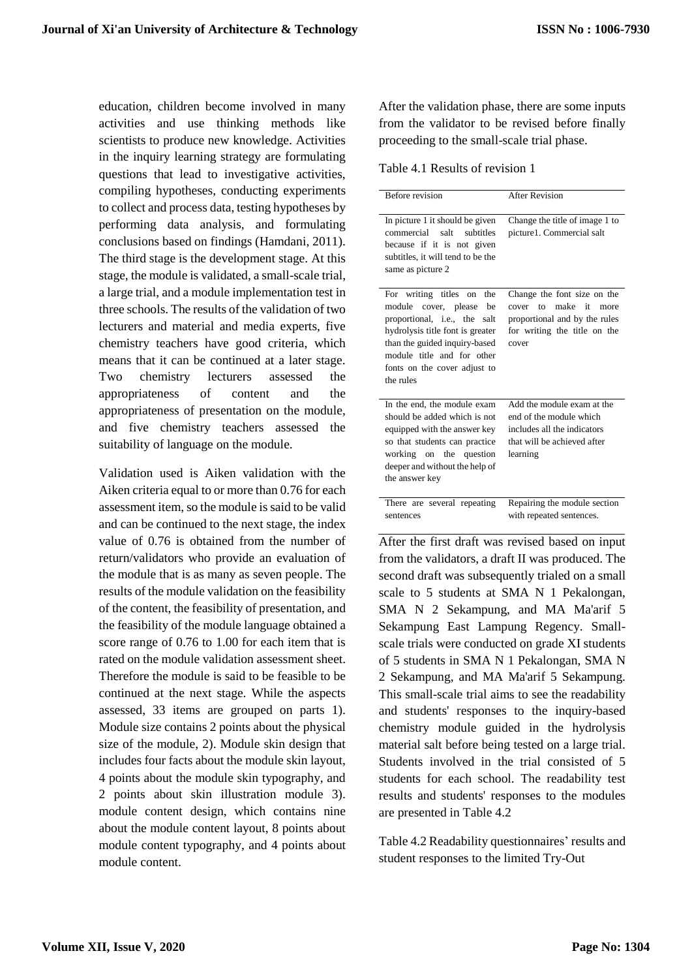education, children become involved in many activities and use thinking methods like scientists to produce new knowledge. Activities in the inquiry learning strategy are formulating questions that lead to investigative activities, compiling hypotheses, conducting experiments to collect and process data, testing hypotheses by performing data analysis, and formulating conclusions based on findings (Hamdani, 2011). The third stage is the development stage. At this stage, the module is validated, a small-scale trial, a large trial, and a module implementation test in three schools. The results of the validation of two lecturers and material and media experts, five chemistry teachers have good criteria, which means that it can be continued at a later stage. Two chemistry lecturers assessed the appropriateness of content and the appropriateness of presentation on the module, and five chemistry teachers assessed the suitability of language on the module.

Validation used is Aiken validation with the Aiken criteria equal to or more than 0.76 for each assessment item, so the module is said to be valid and can be continued to the next stage, the index value of 0.76 is obtained from the number of return/validators who provide an evaluation of the module that is as many as seven people. The results of the module validation on the feasibility of the content, the feasibility of presentation, and the feasibility of the module language obtained a score range of 0.76 to 1.00 for each item that is rated on the module validation assessment sheet. Therefore the module is said to be feasible to be continued at the next stage. While the aspects assessed, 33 items are grouped on parts 1). Module size contains 2 points about the physical size of the module, 2). Module skin design that includes four facts about the module skin layout, 4 points about the module skin typography, and 2 points about skin illustration module 3). module content design, which contains nine about the module content layout, 8 points about module content typography, and 4 points about module content.

After the validation phase, there are some inputs from the validator to be revised before finally proceeding to the small-scale trial phase.

Table 4.1 Results of revision 1

| <b>Before revision</b>                                                                                                                                                                                                                     | <b>After Revision</b>                                                                                                                   |
|--------------------------------------------------------------------------------------------------------------------------------------------------------------------------------------------------------------------------------------------|-----------------------------------------------------------------------------------------------------------------------------------------|
| In picture 1 it should be given<br>commercial<br>salt<br>subtitles<br>because if it is not given<br>subtitles, it will tend to be the<br>same as picture 2                                                                                 | Change the title of image 1 to<br>picture1. Commercial salt                                                                             |
| For writing titles on the<br>cover, please<br>module<br>be<br>proportional, i.e., the salt<br>hydrolysis title font is greater<br>than the guided inquiry-based<br>module title and for other<br>fonts on the cover adjust to<br>the rules | Change the font size on the<br>make<br>cover to<br>it<br>more<br>proportional and by the rules<br>for writing the title on the<br>cover |
| In the end, the module exam<br>should be added which is not<br>equipped with the answer key<br>so that students can practice<br>working on the question<br>deeper and without the help of<br>the answer key                                | Add the module exam at the<br>end of the module which<br>includes all the indicators<br>that will be achieved after<br>learning         |
| There are several repeating<br>sentences                                                                                                                                                                                                   | Repairing the module section<br>with repeated sentences.                                                                                |

After the first draft was revised based on input from the validators, a draft II was produced. The second draft was subsequently trialed on a small scale to 5 students at SMA N 1 Pekalongan, SMA N 2 Sekampung, and MA Ma'arif 5 Sekampung East Lampung Regency. Smallscale trials were conducted on grade XI students of 5 students in SMA N 1 Pekalongan, SMA N 2 Sekampung, and MA Ma'arif 5 Sekampung. This small-scale trial aims to see the readability and students' responses to the inquiry-based chemistry module guided in the hydrolysis material salt before being tested on a large trial. Students involved in the trial consisted of 5 students for each school. The readability test results and students' responses to the modules are presented in Table 4.2

Table 4.2 Readability questionnaires' results and student responses to the limited Try-Out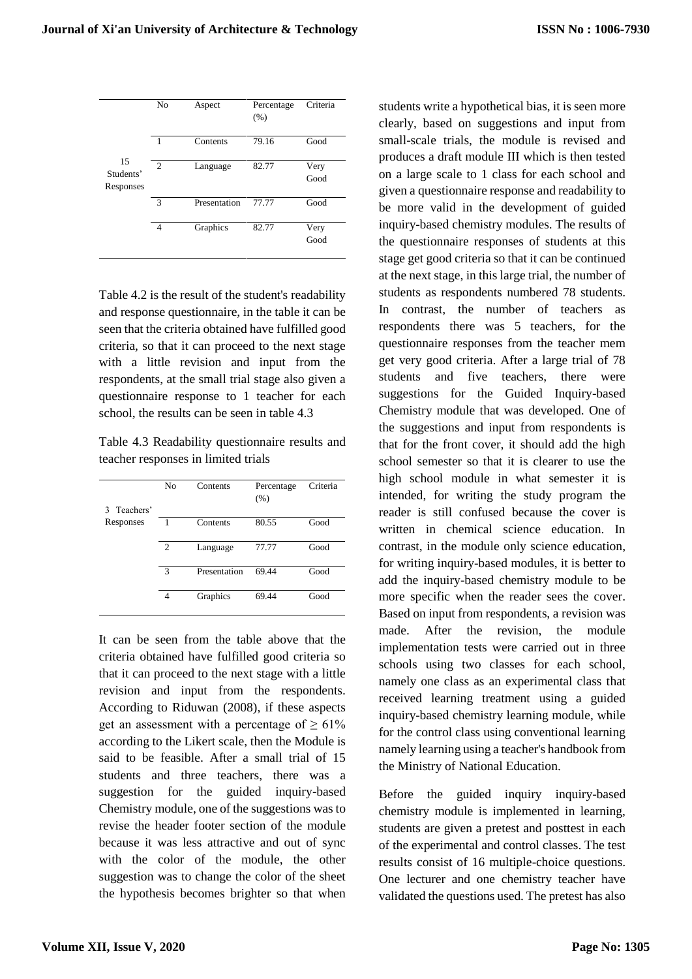|                              | No             | Aspect       | Percentage<br>(% ) | Criteria     |
|------------------------------|----------------|--------------|--------------------|--------------|
|                              | -1             | Contents     | 79.16              | Good         |
| 15<br>Students'<br>Responses | $\overline{2}$ | Language     | 82.77              | Very<br>Good |
|                              | 3              | Presentation | 77.77              | Good         |
|                              | 4              | Graphics     | 82.77              | Very<br>Good |

Table 4.2 is the result of the student's readability and response questionnaire, in the table it can be seen that the criteria obtained have fulfilled good criteria, so that it can proceed to the next stage with a little revision and input from the respondents, at the small trial stage also given a questionnaire response to 1 teacher for each school, the results can be seen in table 4.3

Table 4.3 Readability questionnaire results and teacher responses in limited trials

| 3 Teachers' | No             | Contents     | Percentage<br>(% ) | Criteria |
|-------------|----------------|--------------|--------------------|----------|
| Responses   |                | Contents     | 80.55              | Good     |
|             | $\overline{c}$ | Language     | 77.77              | Good     |
|             | 3              | Presentation | 69.44              | Good     |
|             | 4              | Graphics     | 69.44              | Good     |

It can be seen from the table above that the criteria obtained have fulfilled good criteria so that it can proceed to the next stage with a little revision and input from the respondents. According to Riduwan (2008), if these aspects get an assessment with a percentage of  $\geq 61\%$ according to the Likert scale, then the Module is said to be feasible. After a small trial of 15 students and three teachers, there was a suggestion for the guided inquiry-based Chemistry module, one of the suggestions was to revise the header footer section of the module because it was less attractive and out of sync with the color of the module, the other suggestion was to change the color of the sheet the hypothesis becomes brighter so that when students write a hypothetical bias, it is seen more clearly, based on suggestions and input from small-scale trials, the module is revised and produces a draft module III which is then tested on a large scale to 1 class for each school and given a questionnaire response and readability to be more valid in the development of guided inquiry-based chemistry modules. The results of the questionnaire responses of students at this stage get good criteria so that it can be continued at the next stage, in this large trial, the number of students as respondents numbered 78 students. In contrast, the number of teachers as respondents there was 5 teachers, for the questionnaire responses from the teacher mem get very good criteria. After a large trial of 78 students and five teachers, there were suggestions for the Guided Inquiry-based Chemistry module that was developed. One of the suggestions and input from respondents is that for the front cover, it should add the high school semester so that it is clearer to use the high school module in what semester it is intended, for writing the study program the reader is still confused because the cover is written in chemical science education. In contrast, in the module only science education, for writing inquiry-based modules, it is better to add the inquiry-based chemistry module to be more specific when the reader sees the cover. Based on input from respondents, a revision was made. After the revision, the module implementation tests were carried out in three schools using two classes for each school, namely one class as an experimental class that received learning treatment using a guided inquiry-based chemistry learning module, while for the control class using conventional learning namely learning using a teacher's handbook from the Ministry of National Education.

Before the guided inquiry inquiry-based chemistry module is implemented in learning, students are given a pretest and posttest in each of the experimental and control classes. The test results consist of 16 multiple-choice questions. One lecturer and one chemistry teacher have validated the questions used. The pretest has also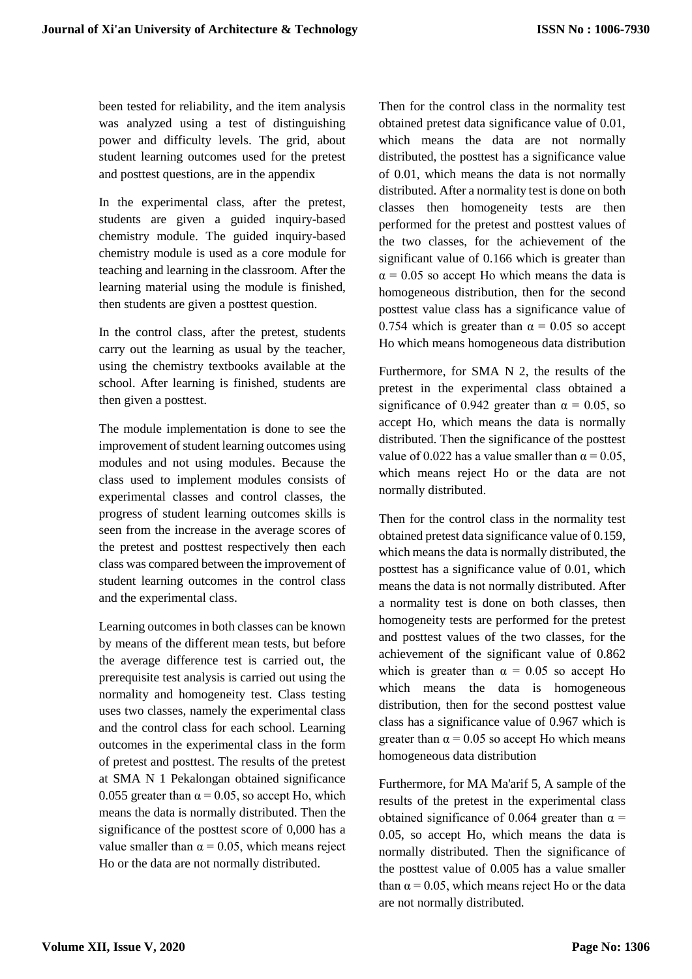been tested for reliability, and the item analysis was analyzed using a test of distinguishing power and difficulty levels. The grid, about student learning outcomes used for the pretest and posttest questions, are in the appendix

In the experimental class, after the pretest, students are given a guided inquiry-based chemistry module. The guided inquiry-based chemistry module is used as a core module for teaching and learning in the classroom. After the learning material using the module is finished, then students are given a posttest question.

In the control class, after the pretest, students carry out the learning as usual by the teacher, using the chemistry textbooks available at the school. After learning is finished, students are then given a posttest.

The module implementation is done to see the improvement of student learning outcomes using modules and not using modules. Because the class used to implement modules consists of experimental classes and control classes, the progress of student learning outcomes skills is seen from the increase in the average scores of the pretest and posttest respectively then each class was compared between the improvement of student learning outcomes in the control class and the experimental class.

Learning outcomes in both classes can be known by means of the different mean tests, but before the average difference test is carried out, the prerequisite test analysis is carried out using the normality and homogeneity test. Class testing uses two classes, namely the experimental class and the control class for each school. Learning outcomes in the experimental class in the form of pretest and posttest. The results of the pretest at SMA N 1 Pekalongan obtained significance 0.055 greater than  $\alpha$  = 0.05, so accept Ho, which means the data is normally distributed. Then the significance of the posttest score of 0,000 has a value smaller than  $\alpha = 0.05$ , which means reject Ho or the data are not normally distributed.

Then for the control class in the normality test obtained pretest data significance value of 0.01, which means the data are not normally distributed, the posttest has a significance value of 0.01, which means the data is not normally distributed. After a normality test is done on both classes then homogeneity tests are then performed for the pretest and posttest values of the two classes, for the achievement of the significant value of 0.166 which is greater than  $\alpha$  = 0.05 so accept Ho which means the data is homogeneous distribution, then for the second posttest value class has a significance value of 0.754 which is greater than  $\alpha = 0.05$  so accept Ho which means homogeneous data distribution

Furthermore, for SMA N 2, the results of the pretest in the experimental class obtained a significance of 0.942 greater than  $\alpha = 0.05$ , so accept Ho, which means the data is normally distributed. Then the significance of the posttest value of 0.022 has a value smaller than  $\alpha = 0.05$ , which means reject Ho or the data are not normally distributed.

Then for the control class in the normality test obtained pretest data significance value of 0.159, which means the data is normally distributed, the posttest has a significance value of 0.01, which means the data is not normally distributed. After a normality test is done on both classes, then homogeneity tests are performed for the pretest and posttest values of the two classes, for the achievement of the significant value of 0.862 which is greater than  $\alpha = 0.05$  so accept Ho which means the data is homogeneous distribution, then for the second posttest value class has a significance value of 0.967 which is greater than  $\alpha = 0.05$  so accept Ho which means homogeneous data distribution

Furthermore, for MA Ma'arif 5, A sample of the results of the pretest in the experimental class obtained significance of 0.064 greater than  $\alpha$  = 0.05, so accept Ho, which means the data is normally distributed. Then the significance of the posttest value of 0.005 has a value smaller than  $\alpha$  = 0.05, which means reject Ho or the data are not normally distributed.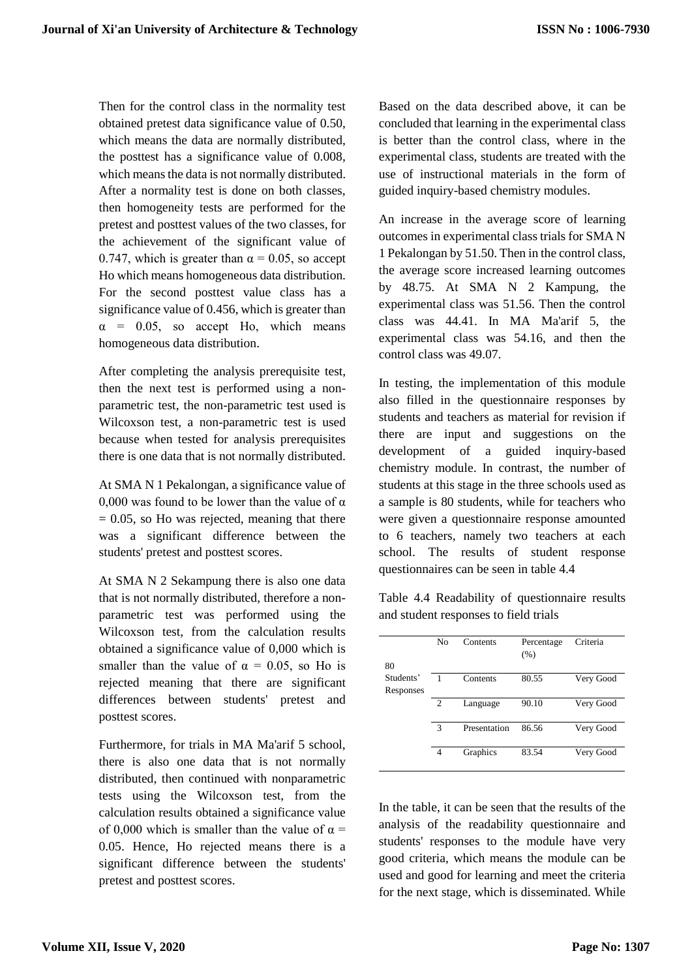Then for the control class in the normality test obtained pretest data significance value of 0.50, which means the data are normally distributed, the posttest has a significance value of 0.008, which means the data is not normally distributed. After a normality test is done on both classes, then homogeneity tests are performed for the pretest and posttest values of the two classes, for the achievement of the significant value of 0.747, which is greater than  $\alpha = 0.05$ , so accept Ho which means homogeneous data distribution. For the second posttest value class has a significance value of 0.456, which is greater than  $\alpha$  = 0.05, so accept Ho, which means homogeneous data distribution.

After completing the analysis prerequisite test, then the next test is performed using a nonparametric test, the non-parametric test used is Wilcoxson test, a non-parametric test is used because when tested for analysis prerequisites there is one data that is not normally distributed.

At SMA N 1 Pekalongan, a significance value of 0,000 was found to be lower than the value of  $\alpha$  $= 0.05$ , so Ho was rejected, meaning that there was a significant difference between the students' pretest and posttest scores.

At SMA N 2 Sekampung there is also one data that is not normally distributed, therefore a nonparametric test was performed using the Wilcoxson test, from the calculation results obtained a significance value of 0,000 which is smaller than the value of  $\alpha = 0.05$ , so Ho is rejected meaning that there are significant differences between students' pretest and posttest scores.

Furthermore, for trials in MA Ma'arif 5 school, there is also one data that is not normally distributed, then continued with nonparametric tests using the Wilcoxson test, from the calculation results obtained a significance value of 0,000 which is smaller than the value of  $\alpha =$ 0.05. Hence, Ho rejected means there is a significant difference between the students' pretest and posttest scores.

Based on the data described above, it can be concluded that learning in the experimental class is better than the control class, where in the experimental class, students are treated with the use of instructional materials in the form of guided inquiry-based chemistry modules.

An increase in the average score of learning outcomes in experimental class trials for SMA N 1 Pekalongan by 51.50. Then in the control class, the average score increased learning outcomes by 48.75. At SMA N 2 Kampung, the experimental class was 51.56. Then the control class was 44.41. In MA Ma'arif 5, the experimental class was 54.16, and then the control class was 49.07.

In testing, the implementation of this module also filled in the questionnaire responses by students and teachers as material for revision if there are input and suggestions on the development of a guided inquiry-based chemistry module. In contrast, the number of students at this stage in the three schools used as a sample is 80 students, while for teachers who were given a questionnaire response amounted to 6 teachers, namely two teachers at each school. The results of student response questionnaires can be seen in table 4.4

Table 4.4 Readability of questionnaire results and student responses to field trials

| 80                     | No             | Contents     | Percentage<br>(% ) | Criteria  |
|------------------------|----------------|--------------|--------------------|-----------|
| Students'<br>Responses |                | Contents     | 80.55              | Very Good |
|                        | $\overline{c}$ | Language     | 90.10              | Very Good |
|                        | $\mathcal{R}$  | Presentation | 86.56              | Very Good |
|                        | 4              | Graphics     | 83.54              | Very Good |

In the table, it can be seen that the results of the analysis of the readability questionnaire and students' responses to the module have very good criteria, which means the module can be used and good for learning and meet the criteria for the next stage, which is disseminated. While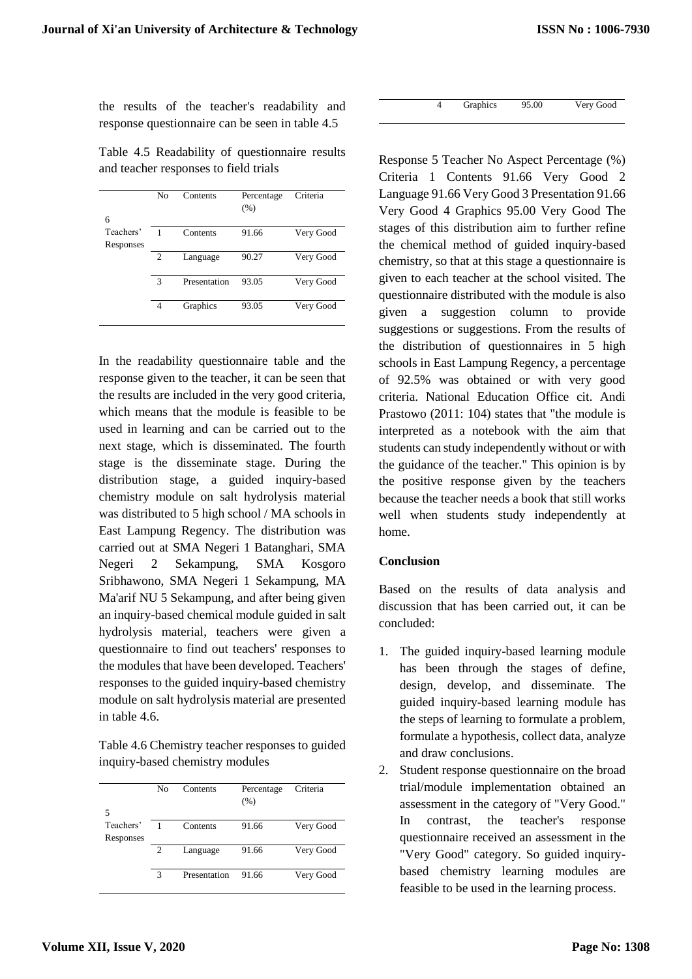the results of the teacher's readability and response questionnaire can be seen in table 4.5

Table 4.5 Readability of questionnaire results and teacher responses to field trials

|           | N <sub>0</sub> | Contents     | Percentage | Criteria  |
|-----------|----------------|--------------|------------|-----------|
|           |                |              | (% )       |           |
| 6         |                |              |            |           |
| Teachers' |                | Contents     | 91.66      | Very Good |
| Responses |                |              |            |           |
|           | $\overline{2}$ | Language     | 90.27      | Very Good |
|           |                |              |            |           |
|           | 3              | Presentation | 93.05      | Very Good |
|           |                |              |            |           |
|           | 4              | Graphics     | 93.05      | Very Good |
|           |                |              |            |           |

In the readability questionnaire table and the response given to the teacher, it can be seen that the results are included in the very good criteria, which means that the module is feasible to be used in learning and can be carried out to the next stage, which is disseminated. The fourth stage is the disseminate stage. During the distribution stage, a guided inquiry-based chemistry module on salt hydrolysis material was distributed to 5 high school / MA schools in East Lampung Regency. The distribution was carried out at SMA Negeri 1 Batanghari, SMA Negeri 2 Sekampung, SMA Kosgoro Sribhawono, SMA Negeri 1 Sekampung, MA Ma'arif NU 5 Sekampung, and after being given an inquiry-based chemical module guided in salt hydrolysis material, teachers were given a questionnaire to find out teachers' responses to the modules that have been developed. Teachers' responses to the guided inquiry-based chemistry module on salt hydrolysis material are presented in table 4.6.

Table 4.6 Chemistry teacher responses to guided inquiry-based chemistry modules

|                             | No             | Contents     | Percentage<br>(% ) | Criteria  |
|-----------------------------|----------------|--------------|--------------------|-----------|
| 5<br>Teachers'<br>Responses |                | Contents     | 91.66              | Very Good |
|                             | $\overline{c}$ | Language     | 91.66              | Very Good |
|                             | 3              | Presentation | 91.66              | Very Good |

|  | Graphics | 95.00 | Very Good |
|--|----------|-------|-----------|
|  |          |       |           |

Response 5 Teacher No Aspect Percentage (%) Criteria 1 Contents 91.66 Very Good 2 Language 91.66 Very Good 3 Presentation 91.66 Very Good 4 Graphics 95.00 Very Good The stages of this distribution aim to further refine the chemical method of guided inquiry-based chemistry, so that at this stage a questionnaire is given to each teacher at the school visited. The questionnaire distributed with the module is also given a suggestion column to provide suggestions or suggestions. From the results of the distribution of questionnaires in 5 high schools in East Lampung Regency, a percentage of 92.5% was obtained or with very good criteria. National Education Office cit. Andi Prastowo (2011: 104) states that "the module is interpreted as a notebook with the aim that students can study independently without or with the guidance of the teacher." This opinion is by the positive response given by the teachers because the teacher needs a book that still works well when students study independently at home.

## **Conclusion**

Based on the results of data analysis and discussion that has been carried out, it can be concluded:

- 1. The guided inquiry-based learning module has been through the stages of define, design, develop, and disseminate. The guided inquiry-based learning module has the steps of learning to formulate a problem, formulate a hypothesis, collect data, analyze and draw conclusions.
- 2. Student response questionnaire on the broad trial/module implementation obtained an assessment in the category of "Very Good." In contrast, the teacher's response questionnaire received an assessment in the "Very Good" category. So guided inquirybased chemistry learning modules are feasible to be used in the learning process.